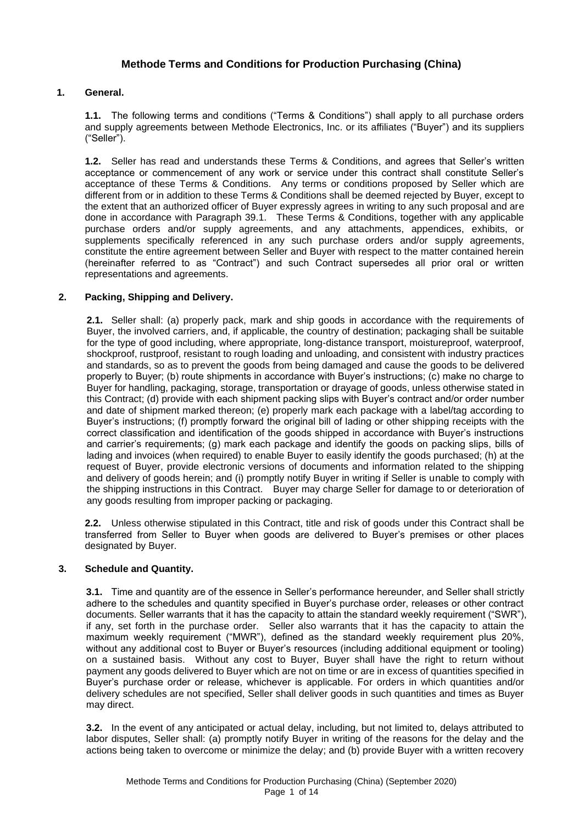# **Methode Terms and Conditions for Production Purchasing (China)**

# **1. General.**

**1.1.** The following terms and conditions ("Terms & Conditions") shall apply to all purchase orders and supply agreements between Methode Electronics, Inc. or its affiliates ("Buyer") and its suppliers ("Seller").

**1.2.** Seller has read and understands these Terms & Conditions, and agrees that Seller's written acceptance or commencement of any work or service under this contract shall constitute Seller's acceptance of these Terms & Conditions. Any terms or conditions proposed by Seller which are different from or in addition to these Terms & Conditions shall be deemed rejected by Buyer, except to the extent that an authorized officer of Buyer expressly agrees in writing to any such proposal and are done in accordance with Paragraph 39.1. These Terms & Conditions, together with any applicable purchase orders and/or supply agreements, and any attachments, appendices, exhibits, or supplements specifically referenced in any such purchase orders and/or supply agreements, constitute the entire agreement between Seller and Buyer with respect to the matter contained herein (hereinafter referred to as "Contract") and such Contract supersedes all prior oral or written representations and agreements.

# **2. Packing, Shipping and Delivery.**

**2.1.** Seller shall: (a) properly pack, mark and ship goods in accordance with the requirements of Buyer, the involved carriers, and, if applicable, the country of destination; packaging shall be suitable for the type of good including, where appropriate, long-distance transport, moistureproof, waterproof, shockproof, rustproof, resistant to rough loading and unloading, and consistent with industry practices and standards, so as to prevent the goods from being damaged and cause the goods to be delivered properly to Buyer; (b) route shipments in accordance with Buyer's instructions; (c) make no charge to Buyer for handling, packaging, storage, transportation or drayage of goods, unless otherwise stated in this Contract; (d) provide with each shipment packing slips with Buyer's contract and/or order number and date of shipment marked thereon; (e) properly mark each package with a label/tag according to Buyer's instructions; (f) promptly forward the original bill of lading or other shipping receipts with the correct classification and identification of the goods shipped in accordance with Buyer's instructions and carrier's requirements; (g) mark each package and identify the goods on packing slips, bills of lading and invoices (when required) to enable Buyer to easily identify the goods purchased; (h) at the request of Buyer, provide electronic versions of documents and information related to the shipping and delivery of goods herein; and (i) promptly notify Buyer in writing if Seller is unable to comply with the shipping instructions in this Contract.Buyer may charge Seller for damage to or deterioration of any goods resulting from improper packing or packaging.

**2.2.** Unless otherwise stipulated in this Contract, title and risk of goods under this Contract shall be transferred from Seller to Buyer when goods are delivered to Buyer's premises or other places designated by Buyer.

# **3. Schedule and Quantity.**

**3.1.** Time and quantity are of the essence in Seller's performance hereunder, and Seller shall strictly adhere to the schedules and quantity specified in Buyer's purchase order, releases or other contract documents. Seller warrants that it has the capacity to attain the standard weekly requirement ("SWR"), if any, set forth in the purchase order. Seller also warrants that it has the capacity to attain the maximum weekly requirement ("MWR"), defined as the standard weekly requirement plus 20%, without any additional cost to Buyer or Buyer's resources (including additional equipment or tooling) on a sustained basis. Without any cost to Buyer, Buyer shall have the right to return without payment any goods delivered to Buyer which are not on time or are in excess of quantities specified in Buyer's purchase order or release, whichever is applicable. For orders in which quantities and/or delivery schedules are not specified, Seller shall deliver goods in such quantities and times as Buyer may direct.

**3.2.** In the event of any anticipated or actual delay, including, but not limited to, delays attributed to labor disputes, Seller shall: (a) promptly notify Buyer in writing of the reasons for the delay and the actions being taken to overcome or minimize the delay; and (b) provide Buyer with a written recovery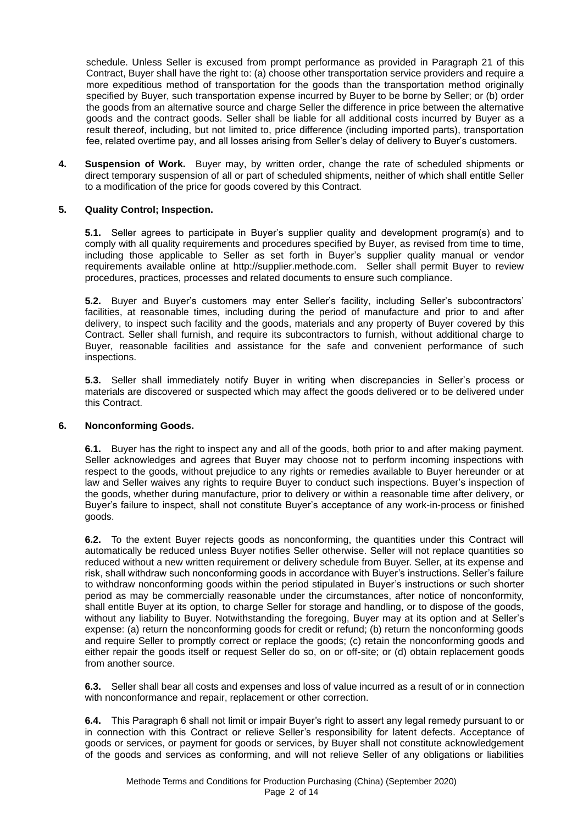schedule. Unless Seller is excused from prompt performance as provided in Paragraph 21 of this Contract, Buyer shall have the right to: (a) choose other transportation service providers and require a more expeditious method of transportation for the goods than the transportation method originally specified by Buyer, such transportation expense incurred by Buyer to be borne by Seller; or (b) order the goods from an alternative source and charge Seller the difference in price between the alternative goods and the contract goods. Seller shall be liable for all additional costs incurred by Buyer as a result thereof, including, but not limited to, price difference (including imported parts), transportation fee, related overtime pay, and all losses arising from Seller's delay of delivery to Buyer's customers.

**4. Suspension of Work.** Buyer may, by written order, change the rate of scheduled shipments or direct temporary suspension of all or part of scheduled shipments, neither of which shall entitle Seller to a modification of the price for goods covered by this Contract.

# **5. Quality Control; Inspection.**

**5.1.** Seller agrees to participate in Buyer's supplier quality and development program(s) and to comply with all quality requirements and procedures specified by Buyer, as revised from time to time, including those applicable to Seller as set forth in Buyer's supplier quality manual or vendor requirements available online at http://supplier.methode.com. Seller shall permit Buyer to review procedures, practices, processes and related documents to ensure such compliance.

**5.2.** Buyer and Buyer's customers may enter Seller's facility, including Seller's subcontractors' facilities, at reasonable times, including during the period of manufacture and prior to and after delivery, to inspect such facility and the goods, materials and any property of Buyer covered by this Contract. Seller shall furnish, and require its subcontractors to furnish, without additional charge to Buyer, reasonable facilities and assistance for the safe and convenient performance of such inspections.

**5.3.** Seller shall immediately notify Buyer in writing when discrepancies in Seller's process or materials are discovered or suspected which may affect the goods delivered or to be delivered under this Contract.

#### **6. Nonconforming Goods.**

**6.1.** Buyer has the right to inspect any and all of the goods, both prior to and after making payment. Seller acknowledges and agrees that Buyer may choose not to perform incoming inspections with respect to the goods, without prejudice to any rights or remedies available to Buyer hereunder or at law and Seller waives any rights to require Buyer to conduct such inspections. Buyer's inspection of the goods, whether during manufacture, prior to delivery or within a reasonable time after delivery, or Buyer's failure to inspect, shall not constitute Buyer's acceptance of any work-in-process or finished goods.

**6.2.** To the extent Buyer rejects goods as nonconforming, the quantities under this Contract will automatically be reduced unless Buyer notifies Seller otherwise. Seller will not replace quantities so reduced without a new written requirement or delivery schedule from Buyer. Seller, at its expense and risk, shall withdraw such nonconforming goods in accordance with Buyer's instructions. Seller's failure to withdraw nonconforming goods within the period stipulated in Buyer's instructions or such shorter period as may be commercially reasonable under the circumstances, after notice of nonconformity, shall entitle Buyer at its option, to charge Seller for storage and handling, or to dispose of the goods, without any liability to Buyer. Notwithstanding the foregoing, Buyer may at its option and at Seller's expense: (a) return the nonconforming goods for credit or refund; (b) return the nonconforming goods and require Seller to promptly correct or replace the goods; (c) retain the nonconforming goods and either repair the goods itself or request Seller do so, on or off-site; or (d) obtain replacement goods from another source.

**6.3.** Seller shall bear all costs and expenses and loss of value incurred as a result of or in connection with nonconformance and repair, replacement or other correction.

**6.4.** This Paragraph 6 shall not limit or impair Buyer's right to assert any legal remedy pursuant to or in connection with this Contract or relieve Seller's responsibility for latent defects. Acceptance of goods or services, or payment for goods or services, by Buyer shall not constitute acknowledgement of the goods and services as conforming, and will not relieve Seller of any obligations or liabilities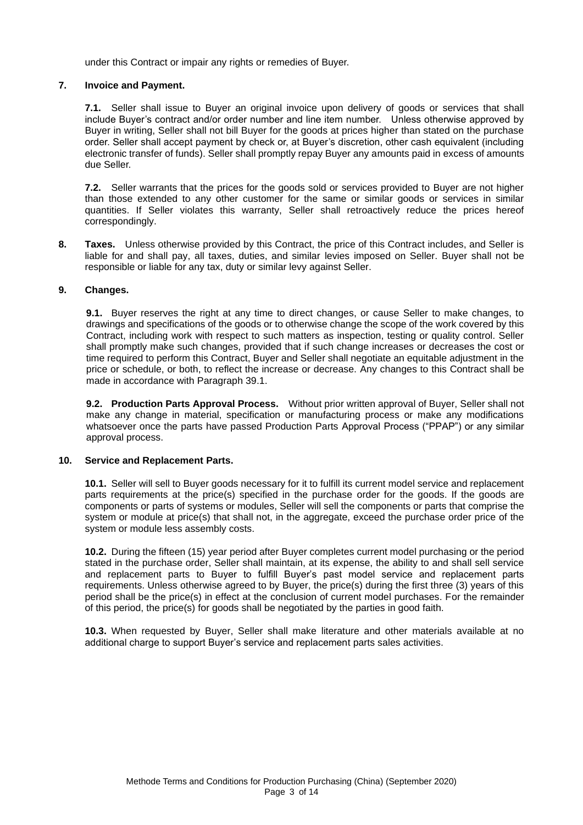under this Contract or impair any rights or remedies of Buyer.

### **7. Invoice and Payment.**

**7.1.** Seller shall issue to Buyer an original invoice upon delivery of goods or services that shall include Buyer's contract and/or order number and line item number. Unless otherwise approved by Buyer in writing, Seller shall not bill Buyer for the goods at prices higher than stated on the purchase order. Seller shall accept payment by check or, at Buyer's discretion, other cash equivalent (including electronic transfer of funds). Seller shall promptly repay Buyer any amounts paid in excess of amounts due Seller.

**7.2.** Seller warrants that the prices for the goods sold or services provided to Buyer are not higher than those extended to any other customer for the same or similar goods or services in similar quantities. If Seller violates this warranty, Seller shall retroactively reduce the prices hereof correspondingly.

**8. Taxes.** Unless otherwise provided by this Contract, the price of this Contract includes, and Seller is liable for and shall pay, all taxes, duties, and similar levies imposed on Seller. Buyer shall not be responsible or liable for any tax, duty or similar levy against Seller.

### **9. Changes.**

**9.1.** Buyer reserves the right at any time to direct changes, or cause Seller to make changes, to drawings and specifications of the goods or to otherwise change the scope of the work covered by this Contract, including work with respect to such matters as inspection, testing or quality control. Seller shall promptly make such changes, provided that if such change increases or decreases the cost or time required to perform this Contract, Buyer and Seller shall negotiate an equitable adjustment in the price or schedule, or both, to reflect the increase or decrease. Any changes to this Contract shall be made in accordance with Paragraph 39.1.

**9.2. Production Parts Approval Process.** Without prior written approval of Buyer, Seller shall not make any change in material, specification or manufacturing process or make any modifications whatsoever once the parts have passed Production Parts Approval Process ("PPAP") or any similar approval process.

#### **10. Service and Replacement Parts.**

**10.1.** Seller will sell to Buyer goods necessary for it to fulfill its current model service and replacement parts requirements at the price(s) specified in the purchase order for the goods. If the goods are components or parts of systems or modules, Seller will sell the components or parts that comprise the system or module at price(s) that shall not, in the aggregate, exceed the purchase order price of the system or module less assembly costs.

**10.2.** During the fifteen (15) year period after Buyer completes current model purchasing or the period stated in the purchase order, Seller shall maintain, at its expense, the ability to and shall sell service and replacement parts to Buyer to fulfill Buyer's past model service and replacement parts requirements. Unless otherwise agreed to by Buyer, the price(s) during the first three (3) years of this period shall be the price(s) in effect at the conclusion of current model purchases. For the remainder of this period, the price(s) for goods shall be negotiated by the parties in good faith.

**10.3.** When requested by Buyer, Seller shall make literature and other materials available at no additional charge to support Buyer's service and replacement parts sales activities.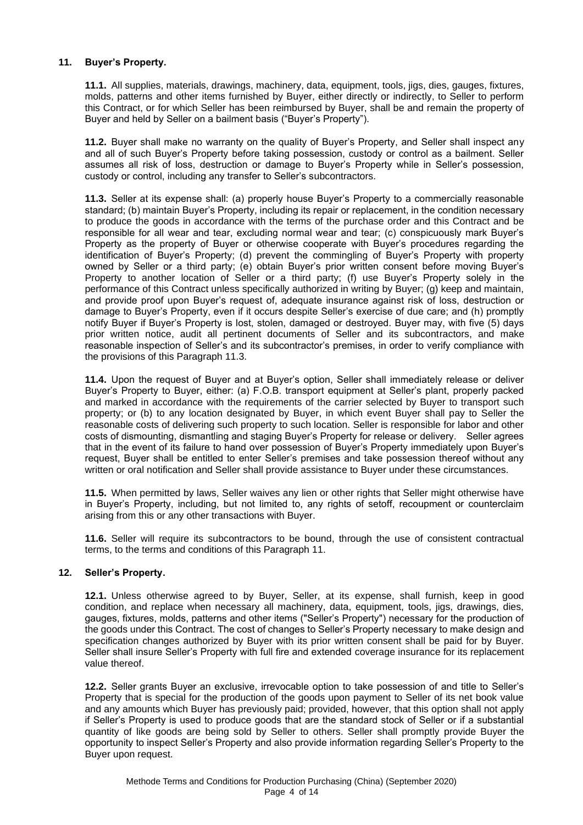### **11. Buyer's Property.**

**11.1.** All supplies, materials, drawings, machinery, data, equipment, tools, jigs, dies, gauges, fixtures, molds, patterns and other items furnished by Buyer, either directly or indirectly, to Seller to perform this Contract, or for which Seller has been reimbursed by Buyer, shall be and remain the property of Buyer and held by Seller on a bailment basis ("Buyer's Property").

**11.2.** Buyer shall make no warranty on the quality of Buyer's Property, and Seller shall inspect any and all of such Buyer's Property before taking possession, custody or control as a bailment. Seller assumes all risk of loss, destruction or damage to Buyer's Property while in Seller's possession, custody or control, including any transfer to Seller's subcontractors.

**11.3.** Seller at its expense shall: (a) properly house Buyer's Property to a commercially reasonable standard; (b) maintain Buyer's Property, including its repair or replacement, in the condition necessary to produce the goods in accordance with the terms of the purchase order and this Contract and be responsible for all wear and tear, excluding normal wear and tear; (c) conspicuously mark Buyer's Property as the property of Buyer or otherwise cooperate with Buyer's procedures regarding the identification of Buyer's Property; (d) prevent the commingling of Buyer's Property with property owned by Seller or a third party; (e) obtain Buyer's prior written consent before moving Buyer's Property to another location of Seller or a third party; (f) use Buyer's Property solely in the performance of this Contract unless specifically authorized in writing by Buyer; (g) keep and maintain, and provide proof upon Buyer's request of, adequate insurance against risk of loss, destruction or damage to Buyer's Property, even if it occurs despite Seller's exercise of due care; and (h) promptly notify Buyer if Buyer's Property is lost, stolen, damaged or destroyed. Buyer may, with five (5) days prior written notice, audit all pertinent documents of Seller and its subcontractors, and make reasonable inspection of Seller's and its subcontractor's premises, in order to verify compliance with the provisions of this Paragraph 11.3.

**11.4.** Upon the request of Buyer and at Buyer's option, Seller shall immediately release or deliver Buyer's Property to Buyer, either: (a) F.O.B. transport equipment at Seller's plant, properly packed and marked in accordance with the requirements of the carrier selected by Buyer to transport such property; or (b) to any location designated by Buyer, in which event Buyer shall pay to Seller the reasonable costs of delivering such property to such location. Seller is responsible for labor and other costs of dismounting, dismantling and staging Buyer's Property for release or delivery. Seller agrees that in the event of its failure to hand over possession of Buyer's Property immediately upon Buyer's request, Buyer shall be entitled to enter Seller's premises and take possession thereof without any written or oral notification and Seller shall provide assistance to Buyer under these circumstances.

**11.5.** When permitted by laws, Seller waives any lien or other rights that Seller might otherwise have in Buyer's Property, including, but not limited to, any rights of setoff, recoupment or counterclaim arising from this or any other transactions with Buyer.

**11.6.** Seller will require its subcontractors to be bound, through the use of consistent contractual terms, to the terms and conditions of this Paragraph 11.

#### **12. Seller's Property.**

**12.1.** Unless otherwise agreed to by Buyer, Seller, at its expense, shall furnish, keep in good condition, and replace when necessary all machinery, data, equipment, tools, jigs, drawings, dies, gauges, fixtures, molds, patterns and other items ("Seller's Property") necessary for the production of the goods under this Contract. The cost of changes to Seller's Property necessary to make design and specification changes authorized by Buyer with its prior written consent shall be paid for by Buyer. Seller shall insure Seller's Property with full fire and extended coverage insurance for its replacement value thereof.

**12.2.** Seller grants Buyer an exclusive, irrevocable option to take possession of and title to Seller's Property that is special for the production of the goods upon payment to Seller of its net book value and any amounts which Buyer has previously paid; provided, however, that this option shall not apply if Seller's Property is used to produce goods that are the standard stock of Seller or if a substantial quantity of like goods are being sold by Seller to others. Seller shall promptly provide Buyer the opportunity to inspect Seller's Property and also provide information regarding Seller's Property to the Buyer upon request.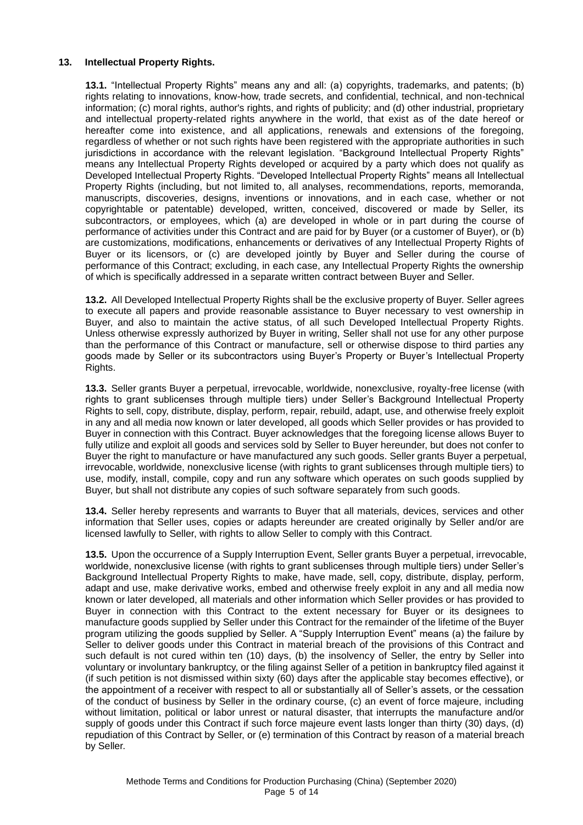### **13. Intellectual Property Rights.**

**13.1.** "Intellectual Property Rights" means any and all: (a) copyrights, trademarks, and patents; (b) rights relating to innovations, know-how, trade secrets, and confidential, technical, and non-technical information; (c) moral rights, author's rights, and rights of publicity; and (d) other industrial, proprietary and intellectual property-related rights anywhere in the world, that exist as of the date hereof or hereafter come into existence, and all applications, renewals and extensions of the foregoing, regardless of whether or not such rights have been registered with the appropriate authorities in such jurisdictions in accordance with the relevant legislation. "Background Intellectual Property Rights" means any Intellectual Property Rights developed or acquired by a party which does not qualify as Developed Intellectual Property Rights. "Developed Intellectual Property Rights" means all Intellectual Property Rights (including, but not limited to, all analyses, recommendations, reports, memoranda, manuscripts, discoveries, designs, inventions or innovations, and in each case, whether or not copyrightable or patentable) developed, written, conceived, discovered or made by Seller, its subcontractors, or employees, which (a) are developed in whole or in part during the course of performance of activities under this Contract and are paid for by Buyer (or a customer of Buyer), or (b) are customizations, modifications, enhancements or derivatives of any Intellectual Property Rights of Buyer or its licensors, or (c) are developed jointly by Buyer and Seller during the course of performance of this Contract; excluding, in each case, any Intellectual Property Rights the ownership of which is specifically addressed in a separate written contract between Buyer and Seller.

**13.2.** All Developed Intellectual Property Rights shall be the exclusive property of Buyer. Seller agrees to execute all papers and provide reasonable assistance to Buyer necessary to vest ownership in Buyer, and also to maintain the active status, of all such Developed Intellectual Property Rights. Unless otherwise expressly authorized by Buyer in writing, Seller shall not use for any other purpose than the performance of this Contract or manufacture, sell or otherwise dispose to third parties any goods made by Seller or its subcontractors using Buyer's Property or Buyer's Intellectual Property Rights.

**13.3.** Seller grants Buyer a perpetual, irrevocable, worldwide, nonexclusive, royalty-free license (with rights to grant sublicenses through multiple tiers) under Seller's Background Intellectual Property Rights to sell, copy, distribute, display, perform, repair, rebuild, adapt, use, and otherwise freely exploit in any and all media now known or later developed, all goods which Seller provides or has provided to Buyer in connection with this Contract. Buyer acknowledges that the foregoing license allows Buyer to fully utilize and exploit all goods and services sold by Seller to Buyer hereunder, but does not confer to Buyer the right to manufacture or have manufactured any such goods. Seller grants Buyer a perpetual, irrevocable, worldwide, nonexclusive license (with rights to grant sublicenses through multiple tiers) to use, modify, install, compile, copy and run any software which operates on such goods supplied by Buyer, but shall not distribute any copies of such software separately from such goods.

**13.4.** Seller hereby represents and warrants to Buyer that all materials, devices, services and other information that Seller uses, copies or adapts hereunder are created originally by Seller and/or are licensed lawfully to Seller, with rights to allow Seller to comply with this Contract.

**13.5.** Upon the occurrence of a Supply Interruption Event, Seller grants Buyer a perpetual, irrevocable, worldwide, nonexclusive license (with rights to grant sublicenses through multiple tiers) under Seller's Background Intellectual Property Rights to make, have made, sell, copy, distribute, display, perform, adapt and use, make derivative works, embed and otherwise freely exploit in any and all media now known or later developed, all materials and other information which Seller provides or has provided to Buyer in connection with this Contract to the extent necessary for Buyer or its designees to manufacture goods supplied by Seller under this Contract for the remainder of the lifetime of the Buyer program utilizing the goods supplied by Seller. A "Supply Interruption Event" means (a) the failure by Seller to deliver goods under this Contract in material breach of the provisions of this Contract and such default is not cured within ten (10) days, (b) the insolvency of Seller, the entry by Seller into voluntary or involuntary bankruptcy, or the filing against Seller of a petition in bankruptcy filed against it (if such petition is not dismissed within sixty (60) days after the applicable stay becomes effective), or the appointment of a receiver with respect to all or substantially all of Seller's assets, or the cessation of the conduct of business by Seller in the ordinary course, (c) an event of force majeure, including without limitation, political or labor unrest or natural disaster, that interrupts the manufacture and/or supply of goods under this Contract if such force majeure event lasts longer than thirty (30) days, (d) repudiation of this Contract by Seller, or (e) termination of this Contract by reason of a material breach by Seller.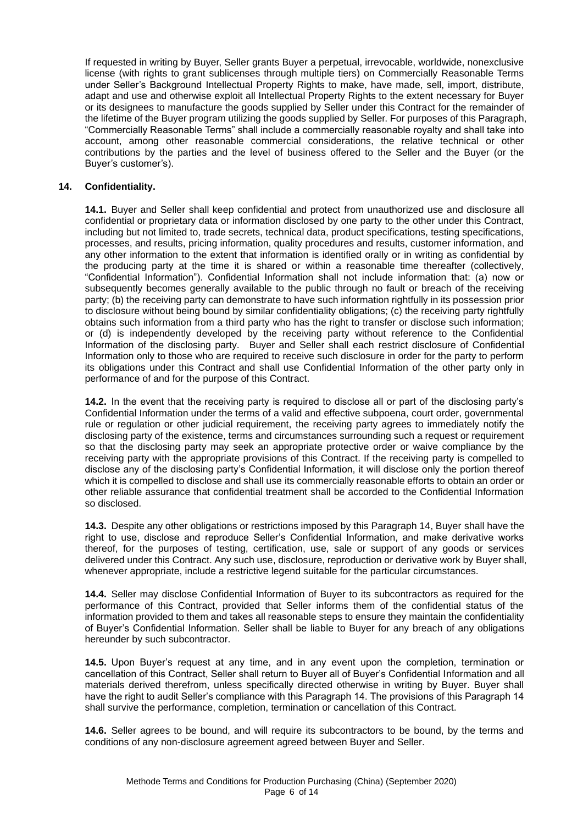If requested in writing by Buyer, Seller grants Buyer a perpetual, irrevocable, worldwide, nonexclusive license (with rights to grant sublicenses through multiple tiers) on Commercially Reasonable Terms under Seller's Background Intellectual Property Rights to make, have made, sell, import, distribute, adapt and use and otherwise exploit all Intellectual Property Rights to the extent necessary for Buyer or its designees to manufacture the goods supplied by Seller under this Contract for the remainder of the lifetime of the Buyer program utilizing the goods supplied by Seller. For purposes of this Paragraph, "Commercially Reasonable Terms" shall include a commercially reasonable royalty and shall take into account, among other reasonable commercial considerations, the relative technical or other contributions by the parties and the level of business offered to the Seller and the Buyer (or the Buyer's customer's).

### **14. Confidentiality.**

**14.1.** Buyer and Seller shall keep confidential and protect from unauthorized use and disclosure all confidential or proprietary data or information disclosed by one party to the other under this Contract, including but not limited to, trade secrets, technical data, product specifications, testing specifications, processes, and results, pricing information, quality procedures and results, customer information, and any other information to the extent that information is identified orally or in writing as confidential by the producing party at the time it is shared or within a reasonable time thereafter (collectively, "Confidential Information"). Confidential Information shall not include information that: (a) now or subsequently becomes generally available to the public through no fault or breach of the receiving party; (b) the receiving party can demonstrate to have such information rightfully in its possession prior to disclosure without being bound by similar confidentiality obligations; (c) the receiving party rightfully obtains such information from a third party who has the right to transfer or disclose such information; or (d) is independently developed by the receiving party without reference to the Confidential Information of the disclosing party. Buyer and Seller shall each restrict disclosure of Confidential Information only to those who are required to receive such disclosure in order for the party to perform its obligations under this Contract and shall use Confidential Information of the other party only in performance of and for the purpose of this Contract.

**14.2.** In the event that the receiving party is required to disclose all or part of the disclosing party's Confidential Information under the terms of a valid and effective subpoena, court order, governmental rule or regulation or other judicial requirement, the receiving party agrees to immediately notify the disclosing party of the existence, terms and circumstances surrounding such a request or requirement so that the disclosing party may seek an appropriate protective order or waive compliance by the receiving party with the appropriate provisions of this Contract. If the receiving party is compelled to disclose any of the disclosing party's Confidential Information, it will disclose only the portion thereof which it is compelled to disclose and shall use its commercially reasonable efforts to obtain an order or other reliable assurance that confidential treatment shall be accorded to the Confidential Information so disclosed.

**14.3.** Despite any other obligations or restrictions imposed by this Paragraph 14, Buyer shall have the right to use, disclose and reproduce Seller's Confidential Information, and make derivative works thereof, for the purposes of testing, certification, use, sale or support of any goods or services delivered under this Contract. Any such use, disclosure, reproduction or derivative work by Buyer shall, whenever appropriate, include a restrictive legend suitable for the particular circumstances.

**14.4.** Seller may disclose Confidential Information of Buyer to its subcontractors as required for the performance of this Contract, provided that Seller informs them of the confidential status of the information provided to them and takes all reasonable steps to ensure they maintain the confidentiality of Buyer's Confidential Information. Seller shall be liable to Buyer for any breach of any obligations hereunder by such subcontractor.

**14.5.** Upon Buyer's request at any time, and in any event upon the completion, termination or cancellation of this Contract, Seller shall return to Buyer all of Buyer's Confidential Information and all materials derived therefrom, unless specifically directed otherwise in writing by Buyer. Buyer shall have the right to audit Seller's compliance with this Paragraph 14. The provisions of this Paragraph 14 shall survive the performance, completion, termination or cancellation of this Contract.

**14.6.** Seller agrees to be bound, and will require its subcontractors to be bound, by the terms and conditions of any non-disclosure agreement agreed between Buyer and Seller.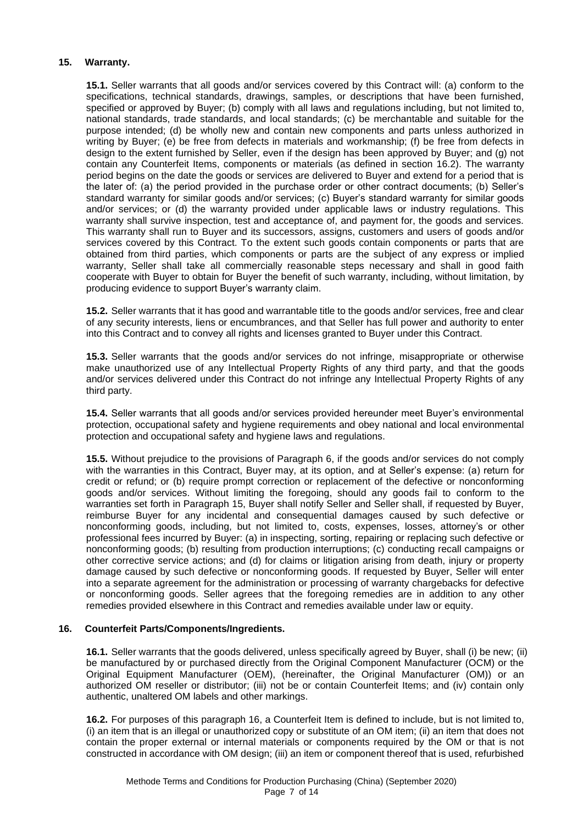# **15. Warranty.**

**15.1.** Seller warrants that all goods and/or services covered by this Contract will: (a) conform to the specifications, technical standards, drawings, samples, or descriptions that have been furnished, specified or approved by Buyer; (b) comply with all laws and regulations including, but not limited to, national standards, trade standards, and local standards; (c) be merchantable and suitable for the purpose intended; (d) be wholly new and contain new components and parts unless authorized in writing by Buyer; (e) be free from defects in materials and workmanship; (f) be free from defects in design to the extent furnished by Seller, even if the design has been approved by Buyer; and (g) not contain any Counterfeit Items, components or materials (as defined in section 16.2). The warranty period begins on the date the goods or services are delivered to Buyer and extend for a period that is the later of: (a) the period provided in the purchase order or other contract documents; (b) Seller's standard warranty for similar goods and/or services; (c) Buyer's standard warranty for similar goods and/or services; or (d) the warranty provided under applicable laws or industry regulations. This warranty shall survive inspection, test and acceptance of, and payment for, the goods and services. This warranty shall run to Buyer and its successors, assigns, customers and users of goods and/or services covered by this Contract. To the extent such goods contain components or parts that are obtained from third parties, which components or parts are the subject of any express or implied warranty, Seller shall take all commercially reasonable steps necessary and shall in good faith cooperate with Buyer to obtain for Buyer the benefit of such warranty, including, without limitation, by producing evidence to support Buyer's warranty claim.

**15.2.** Seller warrants that it has good and warrantable title to the goods and/or services, free and clear of any security interests, liens or encumbrances, and that Seller has full power and authority to enter into this Contract and to convey all rights and licenses granted to Buyer under this Contract.

**15.3.** Seller warrants that the goods and/or services do not infringe, misappropriate or otherwise make unauthorized use of any Intellectual Property Rights of any third party, and that the goods and/or services delivered under this Contract do not infringe any Intellectual Property Rights of any third party.

**15.4.** Seller warrants that all goods and/or services provided hereunder meet Buyer's environmental protection, occupational safety and hygiene requirements and obey national and local environmental protection and occupational safety and hygiene laws and regulations.

**15.5.** Without prejudice to the provisions of Paragraph 6, if the goods and/or services do not comply with the warranties in this Contract, Buyer may, at its option, and at Seller's expense: (a) return for credit or refund; or (b) require prompt correction or replacement of the defective or nonconforming goods and/or services. Without limiting the foregoing, should any goods fail to conform to the warranties set forth in Paragraph 15, Buyer shall notify Seller and Seller shall, if requested by Buyer, reimburse Buyer for any incidental and consequential damages caused by such defective or nonconforming goods, including, but not limited to, costs, expenses, losses, attorney's or other professional fees incurred by Buyer: (a) in inspecting, sorting, repairing or replacing such defective or nonconforming goods; (b) resulting from production interruptions; (c) conducting recall campaigns or other corrective service actions; and (d) for claims or litigation arising from death, injury or property damage caused by such defective or nonconforming goods. If requested by Buyer, Seller will enter into a separate agreement for the administration or processing of warranty chargebacks for defective or nonconforming goods. Seller agrees that the foregoing remedies are in addition to any other remedies provided elsewhere in this Contract and remedies available under law or equity.

# **16. Counterfeit Parts/Components/Ingredients.**

**16.1.** Seller warrants that the goods delivered, unless specifically agreed by Buyer, shall (i) be new; (ii) be manufactured by or purchased directly from the Original Component Manufacturer (OCM) or the Original Equipment Manufacturer (OEM), (hereinafter, the Original Manufacturer (OM)) or an authorized OM reseller or distributor; (iii) not be or contain Counterfeit Items; and (iv) contain only authentic, unaltered OM labels and other markings.

**16.2.** For purposes of this paragraph 16, a Counterfeit Item is defined to include, but is not limited to, (i) an item that is an illegal or unauthorized copy or substitute of an OM item; (ii) an item that does not contain the proper external or internal materials or components required by the OM or that is not constructed in accordance with OM design; (iii) an item or component thereof that is used, refurbished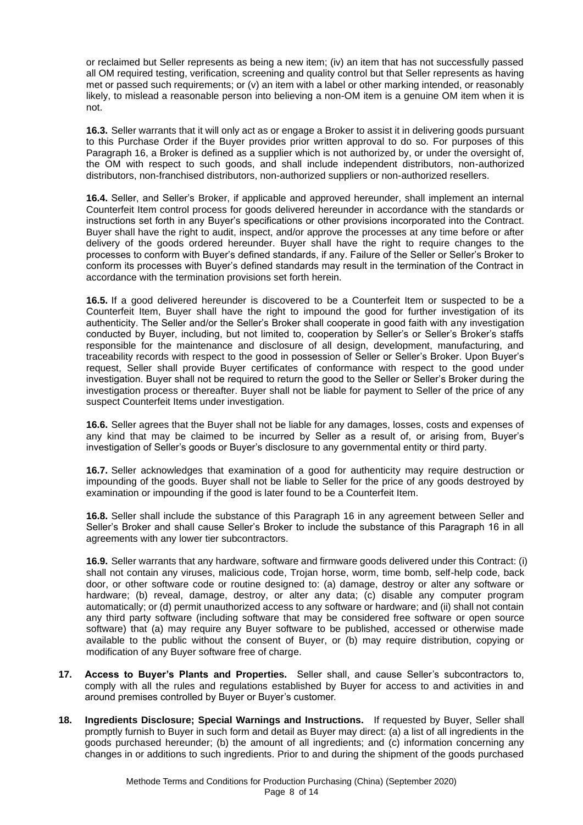or reclaimed but Seller represents as being a new item; (iv) an item that has not successfully passed all OM required testing, verification, screening and quality control but that Seller represents as having met or passed such requirements; or (v) an item with a label or other marking intended, or reasonably likely, to mislead a reasonable person into believing a non-OM item is a genuine OM item when it is not.

**16.3.** Seller warrants that it will only act as or engage a Broker to assist it in delivering goods pursuant to this Purchase Order if the Buyer provides prior written approval to do so. For purposes of this Paragraph 16, a Broker is defined as a supplier which is not authorized by, or under the oversight of, the OM with respect to such goods, and shall include independent distributors, non-authorized distributors, non-franchised distributors, non-authorized suppliers or non-authorized resellers.

**16.4.** Seller, and Seller's Broker, if applicable and approved hereunder, shall implement an internal Counterfeit Item control process for goods delivered hereunder in accordance with the standards or instructions set forth in any Buyer's specifications or other provisions incorporated into the Contract. Buyer shall have the right to audit, inspect, and/or approve the processes at any time before or after delivery of the goods ordered hereunder. Buyer shall have the right to require changes to the processes to conform with Buyer's defined standards, if any. Failure of the Seller or Seller's Broker to conform its processes with Buyer's defined standards may result in the termination of the Contract in accordance with the termination provisions set forth herein.

**16.5.** If a good delivered hereunder is discovered to be a Counterfeit Item or suspected to be a Counterfeit Item, Buyer shall have the right to impound the good for further investigation of its authenticity. The Seller and/or the Seller's Broker shall cooperate in good faith with any investigation conducted by Buyer, including, but not limited to, cooperation by Seller's or Seller's Broker's staffs responsible for the maintenance and disclosure of all design, development, manufacturing, and traceability records with respect to the good in possession of Seller or Seller's Broker. Upon Buyer's request, Seller shall provide Buyer certificates of conformance with respect to the good under investigation. Buyer shall not be required to return the good to the Seller or Seller's Broker during the investigation process or thereafter. Buyer shall not be liable for payment to Seller of the price of any suspect Counterfeit Items under investigation.

**16.6.** Seller agrees that the Buyer shall not be liable for any damages, losses, costs and expenses of any kind that may be claimed to be incurred by Seller as a result of, or arising from, Buyer's investigation of Seller's goods or Buyer's disclosure to any governmental entity or third party.

**16.7.** Seller acknowledges that examination of a good for authenticity may require destruction or impounding of the goods. Buyer shall not be liable to Seller for the price of any goods destroyed by examination or impounding if the good is later found to be a Counterfeit Item.

**16.8.** Seller shall include the substance of this Paragraph 16 in any agreement between Seller and Seller's Broker and shall cause Seller's Broker to include the substance of this Paragraph 16 in all agreements with any lower tier subcontractors.

**16.9.** Seller warrants that any hardware, software and firmware goods delivered under this Contract: (i) shall not contain any viruses, malicious code, Trojan horse, worm, time bomb, self-help code, back door, or other software code or routine designed to: (a) damage, destroy or alter any software or hardware; (b) reveal, damage, destroy, or alter any data; (c) disable any computer program automatically; or (d) permit unauthorized access to any software or hardware; and (ii) shall not contain any third party software (including software that may be considered free software or open source software) that (a) may require any Buyer software to be published, accessed or otherwise made available to the public without the consent of Buyer, or (b) may require distribution, copying or modification of any Buyer software free of charge.

- **17. Access to Buyer's Plants and Properties.** Seller shall, and cause Seller's subcontractors to, comply with all the rules and regulations established by Buyer for access to and activities in and around premises controlled by Buyer or Buyer's customer.
- **18. Ingredients Disclosure; Special Warnings and Instructions.** If requested by Buyer, Seller shall promptly furnish to Buyer in such form and detail as Buyer may direct: (a) a list of all ingredients in the goods purchased hereunder; (b) the amount of all ingredients; and (c) information concerning any changes in or additions to such ingredients. Prior to and during the shipment of the goods purchased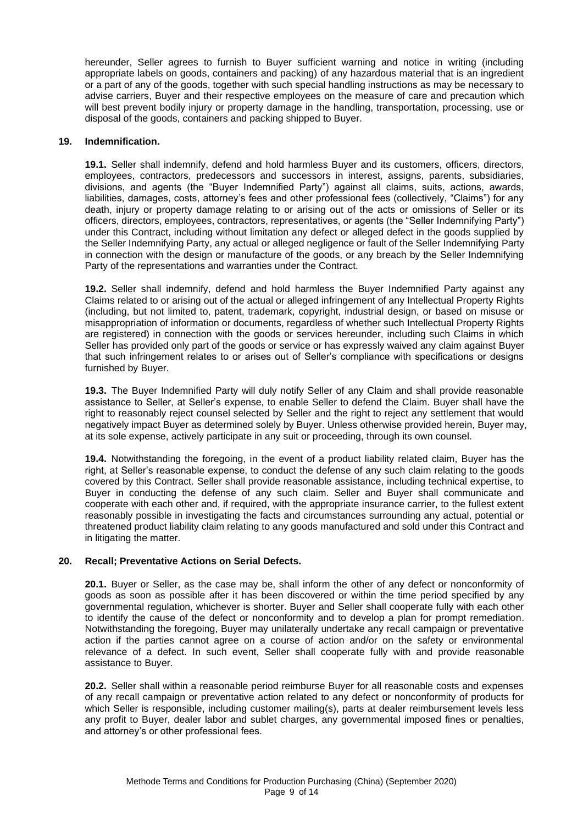hereunder, Seller agrees to furnish to Buyer sufficient warning and notice in writing (including appropriate labels on goods, containers and packing) of any hazardous material that is an ingredient or a part of any of the goods, together with such special handling instructions as may be necessary to advise carriers, Buyer and their respective employees on the measure of care and precaution which will best prevent bodily injury or property damage in the handling, transportation, processing, use or disposal of the goods, containers and packing shipped to Buyer.

#### **19. Indemnification.**

**19.1.** Seller shall indemnify, defend and hold harmless Buyer and its customers, officers, directors, employees, contractors, predecessors and successors in interest, assigns, parents, subsidiaries, divisions, and agents (the "Buyer Indemnified Party") against all claims, suits, actions, awards, liabilities, damages, costs, attorney's fees and other professional fees (collectively, "Claims") for any death, injury or property damage relating to or arising out of the acts or omissions of Seller or its officers, directors, employees, contractors, representatives, or agents (the "Seller Indemnifying Party") under this Contract, including without limitation any defect or alleged defect in the goods supplied by the Seller Indemnifying Party, any actual or alleged negligence or fault of the Seller Indemnifying Party in connection with the design or manufacture of the goods, or any breach by the Seller Indemnifying Party of the representations and warranties under the Contract.

**19.2.** Seller shall indemnify, defend and hold harmless the Buyer Indemnified Party against any Claims related to or arising out of the actual or alleged infringement of any Intellectual Property Rights (including, but not limited to, patent, trademark, copyright, industrial design, or based on misuse or misappropriation of information or documents, regardless of whether such Intellectual Property Rights are registered) in connection with the goods or services hereunder, including such Claims in which Seller has provided only part of the goods or service or has expressly waived any claim against Buyer that such infringement relates to or arises out of Seller's compliance with specifications or designs furnished by Buyer.

**19.3.** The Buyer Indemnified Party will duly notify Seller of any Claim and shall provide reasonable assistance to Seller, at Seller's expense, to enable Seller to defend the Claim. Buyer shall have the right to reasonably reject counsel selected by Seller and the right to reject any settlement that would negatively impact Buyer as determined solely by Buyer. Unless otherwise provided herein, Buyer may, at its sole expense, actively participate in any suit or proceeding, through its own counsel.

**19.4.** Notwithstanding the foregoing, in the event of a product liability related claim, Buyer has the right, at Seller's reasonable expense, to conduct the defense of any such claim relating to the goods covered by this Contract. Seller shall provide reasonable assistance, including technical expertise, to Buyer in conducting the defense of any such claim. Seller and Buyer shall communicate and cooperate with each other and, if required, with the appropriate insurance carrier, to the fullest extent reasonably possible in investigating the facts and circumstances surrounding any actual, potential or threatened product liability claim relating to any goods manufactured and sold under this Contract and in litigating the matter.

#### **20. Recall; Preventative Actions on Serial Defects.**

**20.1.** Buyer or Seller, as the case may be, shall inform the other of any defect or nonconformity of goods as soon as possible after it has been discovered or within the time period specified by any governmental regulation, whichever is shorter. Buyer and Seller shall cooperate fully with each other to identify the cause of the defect or nonconformity and to develop a plan for prompt remediation. Notwithstanding the foregoing, Buyer may unilaterally undertake any recall campaign or preventative action if the parties cannot agree on a course of action and/or on the safety or environmental relevance of a defect. In such event, Seller shall cooperate fully with and provide reasonable assistance to Buyer.

**20.2.** Seller shall within a reasonable period reimburse Buyer for all reasonable costs and expenses of any recall campaign or preventative action related to any defect or nonconformity of products for which Seller is responsible, including customer mailing(s), parts at dealer reimbursement levels less any profit to Buyer, dealer labor and sublet charges, any governmental imposed fines or penalties, and attorney's or other professional fees.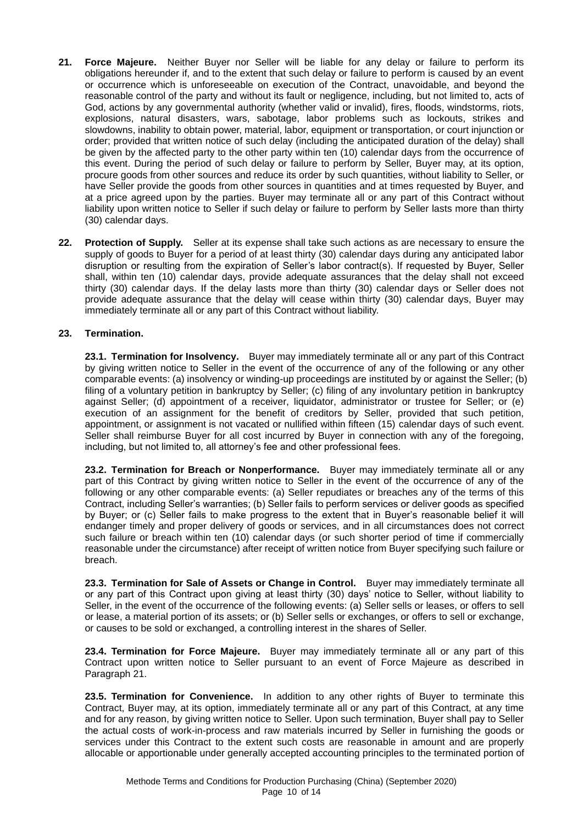- **21. Force Majeure.** Neither Buyer nor Seller will be liable for any delay or failure to perform its obligations hereunder if, and to the extent that such delay or failure to perform is caused by an event or occurrence which is unforeseeable on execution of the Contract, unavoidable, and beyond the reasonable control of the party and without its fault or negligence, including, but not limited to, acts of God, actions by any governmental authority (whether valid or invalid), fires, floods, windstorms, riots, explosions, natural disasters, wars, sabotage, labor problems such as lockouts, strikes and slowdowns, inability to obtain power, material, labor, equipment or transportation, or court injunction or order; provided that written notice of such delay (including the anticipated duration of the delay) shall be given by the affected party to the other party within ten (10) calendar days from the occurrence of this event. During the period of such delay or failure to perform by Seller, Buyer may, at its option, procure goods from other sources and reduce its order by such quantities, without liability to Seller, or have Seller provide the goods from other sources in quantities and at times requested by Buyer, and at a price agreed upon by the parties. Buyer may terminate all or any part of this Contract without liability upon written notice to Seller if such delay or failure to perform by Seller lasts more than thirty (30) calendar days.
- **22. Protection of Supply.** Seller at its expense shall take such actions as are necessary to ensure the supply of goods to Buyer for a period of at least thirty (30) calendar days during any anticipated labor disruption or resulting from the expiration of Seller's labor contract(s). If requested by Buyer, Seller shall, within ten (10) calendar days, provide adequate assurances that the delay shall not exceed thirty (30) calendar days. If the delay lasts more than thirty (30) calendar days or Seller does not provide adequate assurance that the delay will cease within thirty (30) calendar days, Buyer may immediately terminate all or any part of this Contract without liability.

# **23. Termination.**

**23.1. Termination for Insolvency.** Buyer may immediately terminate all or any part of this Contract by giving written notice to Seller in the event of the occurrence of any of the following or any other comparable events: (a) insolvency or winding-up proceedings are instituted by or against the Seller; (b) filing of a voluntary petition in bankruptcy by Seller; (c) filing of any involuntary petition in bankruptcy against Seller; (d) appointment of a receiver, liquidator, administrator or trustee for Seller; or (e) execution of an assignment for the benefit of creditors by Seller, provided that such petition, appointment, or assignment is not vacated or nullified within fifteen (15) calendar days of such event. Seller shall reimburse Buyer for all cost incurred by Buyer in connection with any of the foregoing, including, but not limited to, all attorney's fee and other professional fees.

**23.2. Termination for Breach or Nonperformance.** Buyer may immediately terminate all or any part of this Contract by giving written notice to Seller in the event of the occurrence of any of the following or any other comparable events: (a) Seller repudiates or breaches any of the terms of this Contract, including Seller's warranties; (b) Seller fails to perform services or deliver goods as specified by Buyer; or (c) Seller fails to make progress to the extent that in Buyer's reasonable belief it will endanger timely and proper delivery of goods or services, and in all circumstances does not correct such failure or breach within ten (10) calendar days (or such shorter period of time if commercially reasonable under the circumstance) after receipt of written notice from Buyer specifying such failure or breach.

**23.3. Termination for Sale of Assets or Change in Control.** Buyer may immediately terminate all or any part of this Contract upon giving at least thirty (30) days' notice to Seller, without liability to Seller, in the event of the occurrence of the following events: (a) Seller sells or leases, or offers to sell or lease, a material portion of its assets; or (b) Seller sells or exchanges, or offers to sell or exchange, or causes to be sold or exchanged, a controlling interest in the shares of Seller.

**23.4. Termination for Force Majeure.** Buyer may immediately terminate all or any part of this Contract upon written notice to Seller pursuant to an event of Force Majeure as described in Paragraph 21.

**23.5. Termination for Convenience.** In addition to any other rights of Buyer to terminate this Contract, Buyer may, at its option, immediately terminate all or any part of this Contract, at any time and for any reason, by giving written notice to Seller. Upon such termination, Buyer shall pay to Seller the actual costs of work-in-process and raw materials incurred by Seller in furnishing the goods or services under this Contract to the extent such costs are reasonable in amount and are properly allocable or apportionable under generally accepted accounting principles to the terminated portion of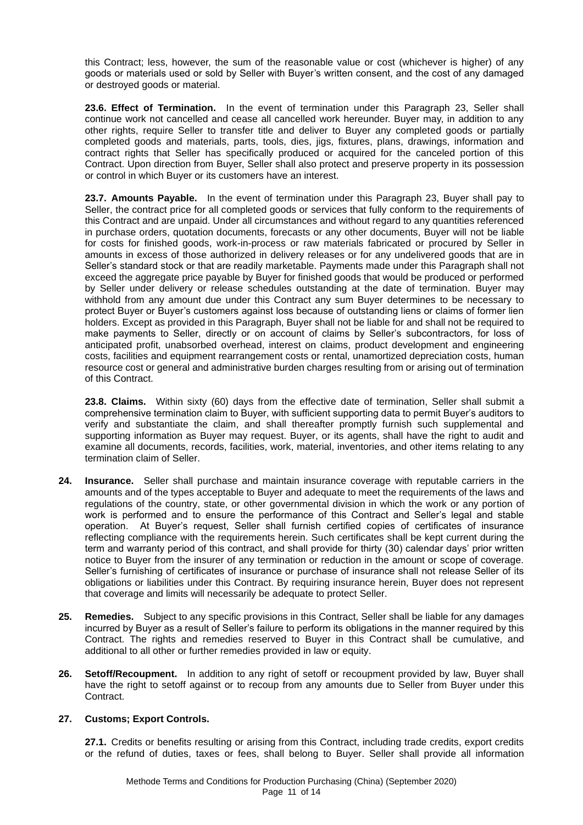this Contract; less, however, the sum of the reasonable value or cost (whichever is higher) of any goods or materials used or sold by Seller with Buyer's written consent, and the cost of any damaged or destroyed goods or material.

**23.6. Effect of Termination.** In the event of termination under this Paragraph 23, Seller shall continue work not cancelled and cease all cancelled work hereunder. Buyer may, in addition to any other rights, require Seller to transfer title and deliver to Buyer any completed goods or partially completed goods and materials, parts, tools, dies, jigs, fixtures, plans, drawings, information and contract rights that Seller has specifically produced or acquired for the canceled portion of this Contract. Upon direction from Buyer, Seller shall also protect and preserve property in its possession or control in which Buyer or its customers have an interest.

**23.7. Amounts Payable.** In the event of termination under this Paragraph 23, Buyer shall pay to Seller, the contract price for all completed goods or services that fully conform to the requirements of this Contract and are unpaid. Under all circumstances and without regard to any quantities referenced in purchase orders, quotation documents, forecasts or any other documents, Buyer will not be liable for costs for finished goods, work-in-process or raw materials fabricated or procured by Seller in amounts in excess of those authorized in delivery releases or for any undelivered goods that are in Seller's standard stock or that are readily marketable. Payments made under this Paragraph shall not exceed the aggregate price payable by Buyer for finished goods that would be produced or performed by Seller under delivery or release schedules outstanding at the date of termination. Buyer may withhold from any amount due under this Contract any sum Buyer determines to be necessary to protect Buyer or Buyer's customers against loss because of outstanding liens or claims of former lien holders. Except as provided in this Paragraph, Buyer shall not be liable for and shall not be required to make payments to Seller, directly or on account of claims by Seller's subcontractors, for loss of anticipated profit, unabsorbed overhead, interest on claims, product development and engineering costs, facilities and equipment rearrangement costs or rental, unamortized depreciation costs, human resource cost or general and administrative burden charges resulting from or arising out of termination of this Contract.

**23.8. Claims.** Within sixty (60) days from the effective date of termination, Seller shall submit a comprehensive termination claim to Buyer, with sufficient supporting data to permit Buyer's auditors to verify and substantiate the claim, and shall thereafter promptly furnish such supplemental and supporting information as Buyer may request. Buyer, or its agents, shall have the right to audit and examine all documents, records, facilities, work, material, inventories, and other items relating to any termination claim of Seller.

- **24. Insurance.** Seller shall purchase and maintain insurance coverage with reputable carriers in the amounts and of the types acceptable to Buyer and adequate to meet the requirements of the laws and regulations of the country, state, or other governmental division in which the work or any portion of work is performed and to ensure the performance of this Contract and Seller's legal and stable operation. At Buyer's request, Seller shall furnish certified copies of certificates of insurance reflecting compliance with the requirements herein. Such certificates shall be kept current during the term and warranty period of this contract, and shall provide for thirty (30) calendar days' prior written notice to Buyer from the insurer of any termination or reduction in the amount or scope of coverage. Seller's furnishing of certificates of insurance or purchase of insurance shall not release Seller of its obligations or liabilities under this Contract. By requiring insurance herein, Buyer does not represent that coverage and limits will necessarily be adequate to protect Seller.
- **25. Remedies.** Subject to any specific provisions in this Contract, Seller shall be liable for any damages incurred by Buyer as a result of Seller's failure to perform its obligations in the manner required by this Contract. The rights and remedies reserved to Buyer in this Contract shall be cumulative, and additional to all other or further remedies provided in law or equity.
- **26. Setoff/Recoupment.** In addition to any right of setoff or recoupment provided by law, Buyer shall have the right to setoff against or to recoup from any amounts due to Seller from Buyer under this Contract.

# **27. Customs; Export Controls.**

**27.1.** Credits or benefits resulting or arising from this Contract, including trade credits, export credits or the refund of duties, taxes or fees, shall belong to Buyer. Seller shall provide all information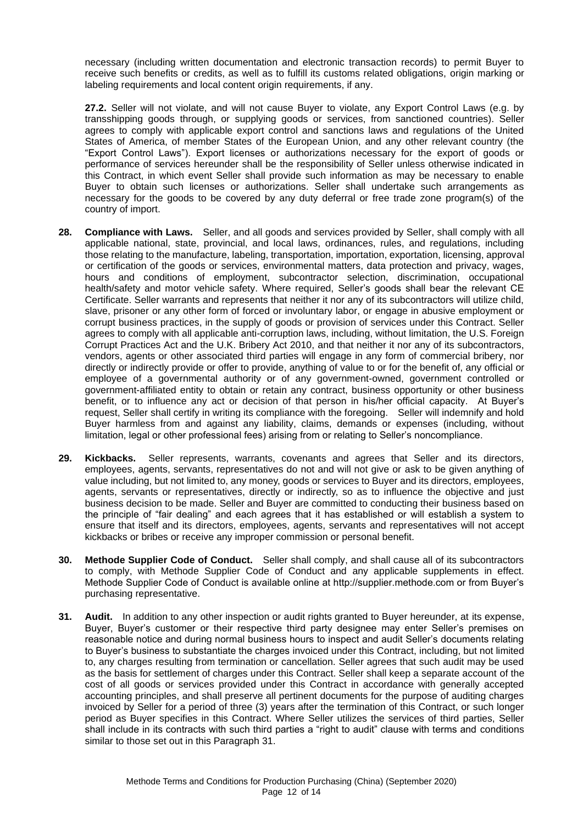necessary (including written documentation and electronic transaction records) to permit Buyer to receive such benefits or credits, as well as to fulfill its customs related obligations, origin marking or labeling requirements and local content origin requirements, if any.

**27.2.** Seller will not violate, and will not cause Buyer to violate, any Export Control Laws (e.g. by transshipping goods through, or supplying goods or services, from sanctioned countries). Seller agrees to comply with applicable export control and sanctions laws and regulations of the United States of America, of member States of the European Union, and any other relevant country (the "Export Control Laws"). Export licenses or authorizations necessary for the export of goods or performance of services hereunder shall be the responsibility of Seller unless otherwise indicated in this Contract, in which event Seller shall provide such information as may be necessary to enable Buyer to obtain such licenses or authorizations. Seller shall undertake such arrangements as necessary for the goods to be covered by any duty deferral or free trade zone program(s) of the country of import.

- **28. Compliance with Laws.** Seller, and all goods and services provided by Seller, shall comply with all applicable national, state, provincial, and local laws, ordinances, rules, and regulations, including those relating to the manufacture, labeling, transportation, importation, exportation, licensing, approval or certification of the goods or services, environmental matters, data protection and privacy, wages, hours and conditions of employment, subcontractor selection, discrimination, occupational health/safety and motor vehicle safety. Where required, Seller's goods shall bear the relevant CE Certificate. Seller warrants and represents that neither it nor any of its subcontractors will utilize child, slave, prisoner or any other form of forced or involuntary labor, or engage in abusive employment or corrupt business practices, in the supply of goods or provision of services under this Contract. Seller agrees to comply with all applicable anti-corruption laws, including, without limitation, the U.S. Foreign Corrupt Practices Act and the U.K. Bribery Act 2010, and that neither it nor any of its subcontractors, vendors, agents or other associated third parties will engage in any form of commercial bribery, nor directly or indirectly provide or offer to provide, anything of value to or for the benefit of, any official or employee of a governmental authority or of any government-owned, government controlled or government-affiliated entity to obtain or retain any contract, business opportunity or other business benefit, or to influence any act or decision of that person in his/her official capacity. At Buyer's request, Seller shall certify in writing its compliance with the foregoing. Seller will indemnify and hold Buyer harmless from and against any liability, claims, demands or expenses (including, without limitation, legal or other professional fees) arising from or relating to Seller's noncompliance.
- **29. Kickbacks.** Seller represents, warrants, covenants and agrees that Seller and its directors, employees, agents, servants, representatives do not and will not give or ask to be given anything of value including, but not limited to, any money, goods or services to Buyer and its directors, employees, agents, servants or representatives, directly or indirectly, so as to influence the objective and just business decision to be made. Seller and Buyer are committed to conducting their business based on the principle of "fair dealing" and each agrees that it has established or will establish a system to ensure that itself and its directors, employees, agents, servants and representatives will not accept kickbacks or bribes or receive any improper commission or personal benefit.
- **30. Methode Supplier Code of Conduct.** Seller shall comply, and shall cause all of its subcontractors to comply, with Methode Supplier Code of Conduct and any applicable supplements in effect. Methode Supplier Code of Conduct is available online at http://supplier.methode.com or from Buyer's purchasing representative.
- **31. Audit.** In addition to any other inspection or audit rights granted to Buyer hereunder, at its expense, Buyer, Buyer's customer or their respective third party designee may enter Seller's premises on reasonable notice and during normal business hours to inspect and audit Seller's documents relating to Buyer's business to substantiate the charges invoiced under this Contract, including, but not limited to, any charges resulting from termination or cancellation. Seller agrees that such audit may be used as the basis for settlement of charges under this Contract. Seller shall keep a separate account of the cost of all goods or services provided under this Contract in accordance with generally accepted accounting principles, and shall preserve all pertinent documents for the purpose of auditing charges invoiced by Seller for a period of three (3) years after the termination of this Contract, or such longer period as Buyer specifies in this Contract. Where Seller utilizes the services of third parties, Seller shall include in its contracts with such third parties a "right to audit" clause with terms and conditions similar to those set out in this Paragraph 31.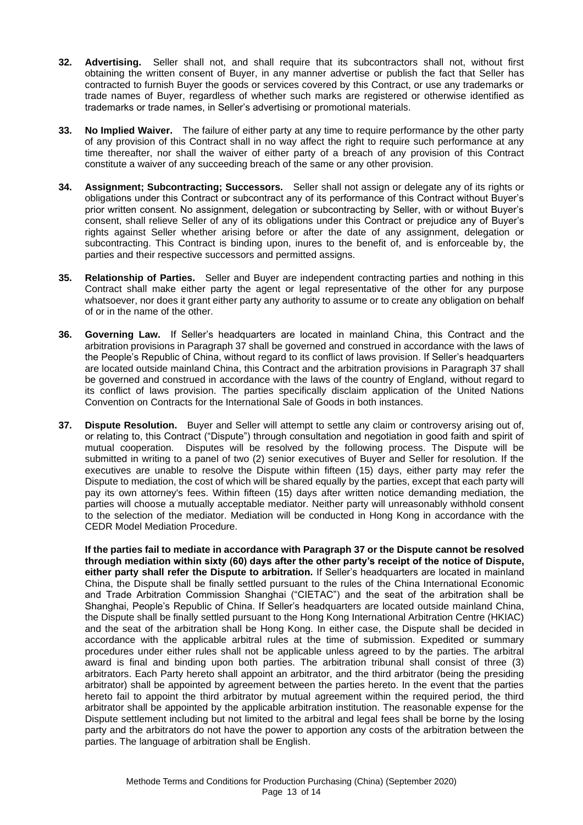- **32. Advertising.** Seller shall not, and shall require that its subcontractors shall not, without first obtaining the written consent of Buyer, in any manner advertise or publish the fact that Seller has contracted to furnish Buyer the goods or services covered by this Contract, or use any trademarks or trade names of Buyer, regardless of whether such marks are registered or otherwise identified as trademarks or trade names, in Seller's advertising or promotional materials.
- **33. No Implied Waiver.** The failure of either party at any time to require performance by the other party of any provision of this Contract shall in no way affect the right to require such performance at any time thereafter, nor shall the waiver of either party of a breach of any provision of this Contract constitute a waiver of any succeeding breach of the same or any other provision.
- **34. Assignment; Subcontracting; Successors.** Seller shall not assign or delegate any of its rights or obligations under this Contract or subcontract any of its performance of this Contract without Buyer's prior written consent. No assignment, delegation or subcontracting by Seller, with or without Buyer's consent, shall relieve Seller of any of its obligations under this Contract or prejudice any of Buyer's rights against Seller whether arising before or after the date of any assignment, delegation or subcontracting. This Contract is binding upon, inures to the benefit of, and is enforceable by, the parties and their respective successors and permitted assigns.
- **35. Relationship of Parties.** Seller and Buyer are independent contracting parties and nothing in this Contract shall make either party the agent or legal representative of the other for any purpose whatsoever, nor does it grant either party any authority to assume or to create any obligation on behalf of or in the name of the other.
- **36. Governing Law.** If Seller's headquarters are located in mainland China, this Contract and the arbitration provisions in Paragraph 37 shall be governed and construed in accordance with the laws of the People's Republic of China, without regard to its conflict of laws provision. If Seller's headquarters are located outside mainland China, this Contract and the arbitration provisions in Paragraph 37 shall be governed and construed in accordance with the laws of the country of England, without regard to its conflict of laws provision. The parties specifically disclaim application of the United Nations Convention on Contracts for the International Sale of Goods in both instances.
- **37. Dispute Resolution.** Buyer and Seller will attempt to settle any claim or controversy arising out of, or relating to, this Contract ("Dispute") through consultation and negotiation in good faith and spirit of mutual cooperation. Disputes will be resolved by the following process. The Dispute will be submitted in writing to a panel of two (2) senior executives of Buyer and Seller for resolution. If the executives are unable to resolve the Dispute within fifteen (15) days, either party may refer the Dispute to mediation, the cost of which will be shared equally by the parties, except that each party will pay its own attorney's fees. Within fifteen (15) days after written notice demanding mediation, the parties will choose a mutually acceptable mediator. Neither party will unreasonably withhold consent to the selection of the mediator. Mediation will be conducted in Hong Kong in accordance with the CEDR Model Mediation Procedure.

**If the parties fail to mediate in accordance with Paragraph 37 or the Dispute cannot be resolved through mediation within sixty (60) days after the other party's receipt of the notice of Dispute, either party shall refer the Dispute to arbitration.** If Seller's headquarters are located in mainland China, the Dispute shall be finally settled pursuant to the rules of the China International Economic and Trade Arbitration Commission Shanghai ("CIETAC") and the seat of the arbitration shall be Shanghai, People's Republic of China. If Seller's headquarters are located outside mainland China, the Dispute shall be finally settled pursuant to the Hong Kong International Arbitration Centre (HKIAC) and the seat of the arbitration shall be Hong Kong. In either case, the Dispute shall be decided in accordance with the applicable arbitral rules at the time of submission. Expedited or summary procedures under either rules shall not be applicable unless agreed to by the parties. The arbitral award is final and binding upon both parties. The arbitration tribunal shall consist of three (3) arbitrators. Each Party hereto shall appoint an arbitrator, and the third arbitrator (being the presiding arbitrator) shall be appointed by agreement between the parties hereto. In the event that the parties hereto fail to appoint the third arbitrator by mutual agreement within the required period, the third arbitrator shall be appointed by the applicable arbitration institution. The reasonable expense for the Dispute settlement including but not limited to the arbitral and legal fees shall be borne by the losing party and the arbitrators do not have the power to apportion any costs of the arbitration between the parties. The language of arbitration shall be English.